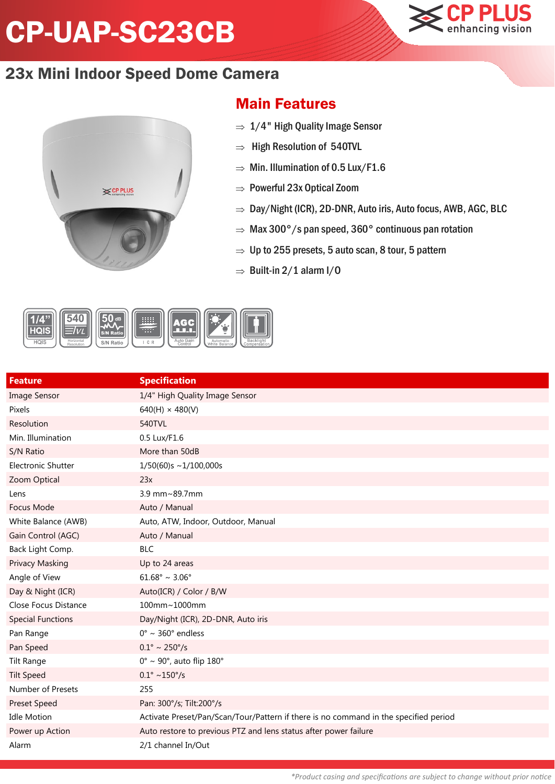## CP-UAP-SC23CB





## Main Features

- $\Rightarrow$  1/4" High Quality Image Sensor
- $\Rightarrow$  High Resolution of 540TVL
- $\Rightarrow$  Min. Illumination of 0.5 Lux/F1.6
- $\Rightarrow$  Powerful 23x Optical Zoom
- $\Rightarrow$  Day/Night (ICR), 2D-DNR, Auto iris, Auto focus, AWB, AGC, BLC
- $\Rightarrow$  Max 300°/s pan speed, 360° continuous pan rotation
- $\Rightarrow$  Up to 255 presets, 5 auto scan, 8 tour, 5 pattern
- $\Rightarrow$  Built-in 2/1 alarm I/0



| <b>Feature</b>            | <b>Specification</b>                                                                 |
|---------------------------|--------------------------------------------------------------------------------------|
| <b>Image Sensor</b>       | 1/4" High Quality Image Sensor                                                       |
| Pixels                    | $640(H) \times 480(V)$                                                               |
| Resolution                | 540TVL                                                                               |
| Min. Illumination         | 0.5 Lux/F1.6                                                                         |
| S/N Ratio                 | More than 50dB                                                                       |
| <b>Electronic Shutter</b> | $1/50(60)s \sim 1/100,000s$                                                          |
| Zoom Optical              | 23x                                                                                  |
| Lens                      | 3.9 mm~89.7mm                                                                        |
| Focus Mode                | Auto / Manual                                                                        |
| White Balance (AWB)       | Auto, ATW, Indoor, Outdoor, Manual                                                   |
| Gain Control (AGC)        | Auto / Manual                                                                        |
| Back Light Comp.          | <b>BLC</b>                                                                           |
| <b>Privacy Masking</b>    | Up to 24 areas                                                                       |
| Angle of View             | $61.68^{\circ} \sim 3.06^{\circ}$                                                    |
| Day & Night (ICR)         | Auto(ICR) / Color / B/W                                                              |
| Close Focus Distance      | 100mm~1000mm                                                                         |
| <b>Special Functions</b>  | Day/Night (ICR), 2D-DNR, Auto iris                                                   |
| Pan Range                 | $0^\circ \sim 360^\circ$ endless                                                     |
| Pan Speed                 | $0.1^{\circ} \sim 250^{\circ}/s$                                                     |
| <b>Tilt Range</b>         | $0^\circ \sim 90^\circ$ , auto flip $180^\circ$                                      |
| <b>Tilt Speed</b>         | $0.1^{\circ} \sim 150^{\circ}/s$                                                     |
| Number of Presets         | 255                                                                                  |
| <b>Preset Speed</b>       | Pan: 300°/s; Tilt:200°/s                                                             |
| <b>Idle Motion</b>        | Activate Preset/Pan/Scan/Tour/Pattern if there is no command in the specified period |
| Power up Action           | Auto restore to previous PTZ and lens status after power failure                     |
| Alarm                     | 2/1 channel In/Out                                                                   |